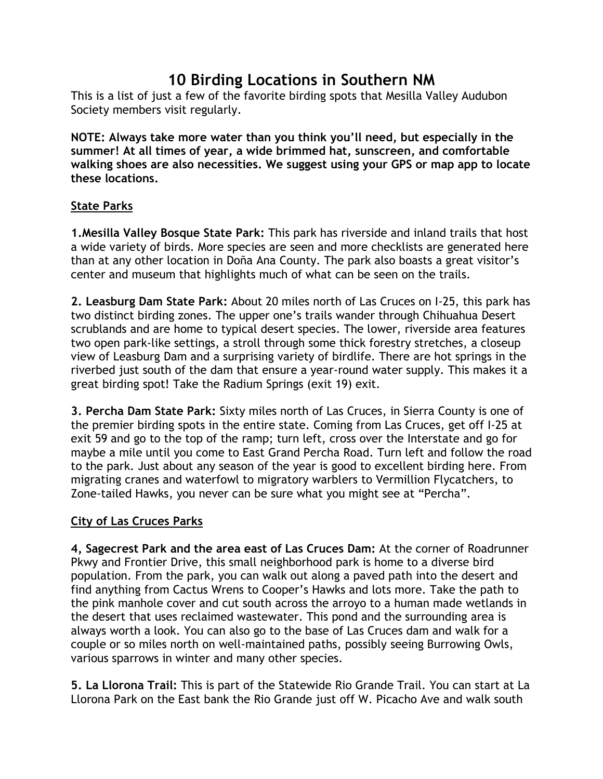# **10 Birding Locations in Southern NM**

This is a list of just a few of the favorite birding spots that Mesilla Valley Audubon Society members visit regularly.

**NOTE: Always take more water than you think you'll need, but especially in the summer! At all times of year, a wide brimmed hat, sunscreen, and comfortable walking shoes are also necessities. We suggest using your GPS or map app to locate these locations.**

## **State Parks**

**1.Mesilla Valley Bosque State Park:** This park has riverside and inland trails that host a wide variety of birds. More species are seen and more checklists are generated here than at any other location in Doña Ana County. The park also boasts a great visitor's center and museum that highlights much of what can be seen on the trails.

**2. Leasburg Dam State Park:** About 20 miles north of Las Cruces on I-25, this park has two distinct birding zones. The upper one's trails wander through Chihuahua Desert scrublands and are home to typical desert species. The lower, riverside area features two open park-like settings, a stroll through some thick forestry stretches, a closeup view of Leasburg Dam and a surprising variety of birdlife. There are hot springs in the riverbed just south of the dam that ensure a year-round water supply. This makes it a great birding spot! Take the Radium Springs (exit 19) exit.

**3. Percha Dam State Park:** Sixty miles north of Las Cruces, in Sierra County is one of the premier birding spots in the entire state. Coming from Las Cruces, get off I-25 at exit 59 and go to the top of the ramp; turn left, cross over the Interstate and go for maybe a mile until you come to East Grand Percha Road. Turn left and follow the road to the park. Just about any season of the year is good to excellent birding here. From migrating cranes and waterfowl to migratory warblers to Vermillion Flycatchers, to Zone-tailed Hawks, you never can be sure what you might see at "Percha".

## **City of Las Cruces Parks**

**4, Sagecrest Park and the area east of Las Cruces Dam:** At the corner of Roadrunner Pkwy and Frontier Drive, this small neighborhood park is home to a diverse bird population. From the park, you can walk out along a paved path into the desert and find anything from Cactus Wrens to Cooper's Hawks and lots more. Take the path to the pink manhole cover and cut south across the arroyo to a human made wetlands in the desert that uses reclaimed wastewater. This pond and the surrounding area is always worth a look. You can also go to the base of Las Cruces dam and walk for a couple or so miles north on well-maintained paths, possibly seeing Burrowing Owls, various sparrows in winter and many other species.

**5. La Llorona Trail:** This is part of the Statewide Rio Grande Trail. You can start at La Llorona Park on the East bank the Rio Grande just off W. Picacho Ave and walk south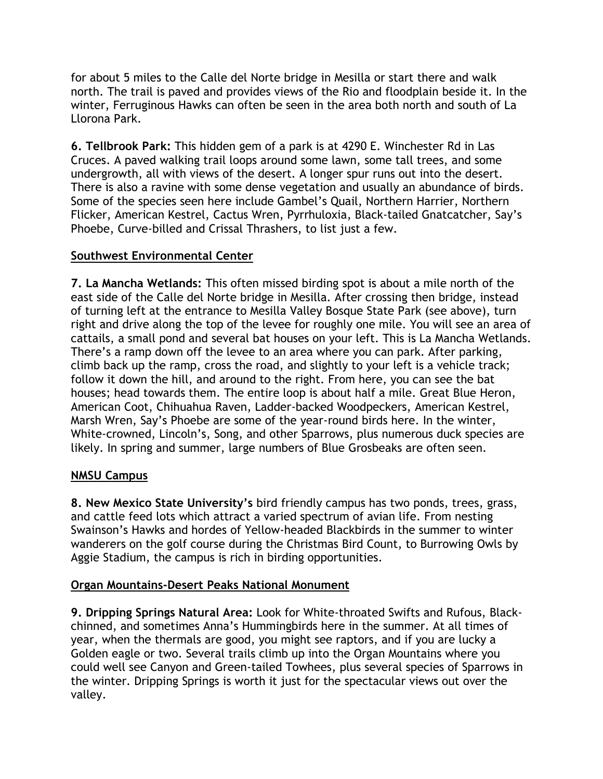for about 5 miles to the Calle del Norte bridge in Mesilla or start there and walk north. The trail is paved and provides views of the Rio and floodplain beside it. In the winter, Ferruginous Hawks can often be seen in the area both north and south of La Llorona Park.

**6. Tellbrook Park:** This hidden gem of a park is at 4290 E. Winchester Rd in Las Cruces. A paved walking trail loops around some lawn, some tall trees, and some undergrowth, all with views of the desert. A longer spur runs out into the desert. There is also a ravine with some dense vegetation and usually an abundance of birds. Some of the species seen here include Gambel's Quail, Northern Harrier, Northern Flicker, American Kestrel, Cactus Wren, Pyrrhuloxia, Black-tailed Gnatcatcher, Say's Phoebe, Curve-billed and Crissal Thrashers, to list just a few.

## **Southwest Environmental Center**

**7. La Mancha Wetlands:** This often missed birding spot is about a mile north of the east side of the Calle del Norte bridge in Mesilla. After crossing then bridge, instead of turning left at the entrance to Mesilla Valley Bosque State Park (see above), turn right and drive along the top of the levee for roughly one mile. You will see an area of cattails, a small pond and several bat houses on your left. This is La Mancha Wetlands. There's a ramp down off the levee to an area where you can park. After parking, climb back up the ramp, cross the road, and slightly to your left is a vehicle track; follow it down the hill, and around to the right. From here, you can see the bat houses; head towards them. The entire loop is about half a mile. Great Blue Heron, American Coot, Chihuahua Raven, Ladder-backed Woodpeckers, American Kestrel, Marsh Wren, Say's Phoebe are some of the year-round birds here. In the winter, White-crowned, Lincoln's, Song, and other Sparrows, plus numerous duck species are likely. In spring and summer, large numbers of Blue Grosbeaks are often seen.

## **NMSU Campus**

**8. New Mexico State University's** bird friendly campus has two ponds, trees, grass, and cattle feed lots which attract a varied spectrum of avian life. From nesting Swainson's Hawks and hordes of Yellow-headed Blackbirds in the summer to winter wanderers on the golf course during the Christmas Bird Count, to Burrowing Owls by Aggie Stadium, the campus is rich in birding opportunities.

## **Organ Mountains-Desert Peaks National Monument**

**9. Dripping Springs Natural Area:** Look for White-throated Swifts and Rufous, Blackchinned, and sometimes Anna's Hummingbirds here in the summer. At all times of year, when the thermals are good, you might see raptors, and if you are lucky a Golden eagle or two. Several trails climb up into the Organ Mountains where you could well see Canyon and Green-tailed Towhees, plus several species of Sparrows in the winter. Dripping Springs is worth it just for the spectacular views out over the valley.